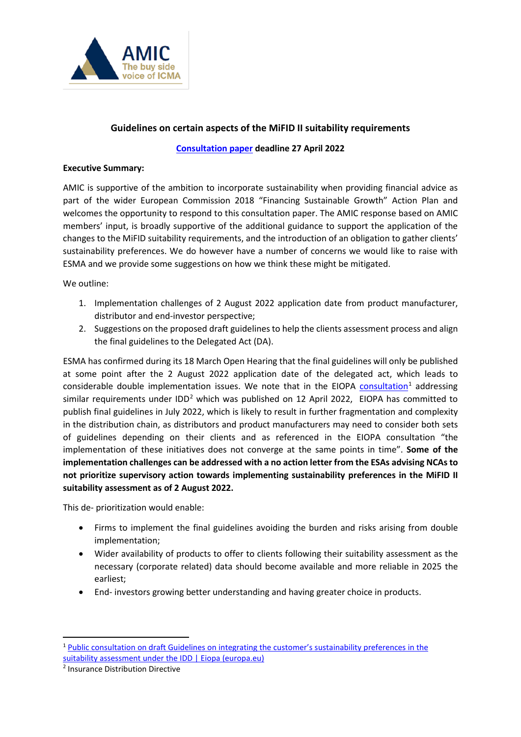

### **Guidelines on certain aspects of the MiFID II suitability requirements**

#### **[Consultation paper](https://www.esma.europa.eu/sites/default/files/library/esma35-43-2998_consultation_paper_on_review_mifid_ii_guidelines_on_suitability.pdf) deadline 27 April 2022**

#### **Executive Summary:**

AMIC is supportive of the ambition to incorporate sustainability when providing financial advice as part of the wider European Commission 2018 "Financing Sustainable Growth" Action Plan and welcomes the opportunity to respond to this consultation paper. The AMIC response based on AMIC members' input, is broadly supportive of the additional guidance to support the application of the changes to the MiFID suitability requirements, and the introduction of an obligation to gather clients' sustainability preferences. We do however have a number of concerns we would like to raise with ESMA and we provide some suggestions on how we think these might be mitigated.

We outline:

- 1. Implementation challenges of 2 August 2022 application date from product manufacturer, distributor and end-investor perspective;
- 2. Suggestions on the proposed draft guidelines to help the clients assessment process and align the final guidelines to the Delegated Act (DA).

ESMA has confirmed during its 18 March Open Hearing that the final guidelines will only be published at some point after the 2 August 2022 application date of the delegated act, which leads to considerable double implementation issues. We note that in the EIOPA [consultation](https://www.eiopa.europa.eu/document-library/consultation/public-consultation-draft-guidelines-integrating-customer%E2%80%99s)<sup>[1](#page-0-0)</sup> addressing similar requirements under IDD<sup>[2](#page-0-1)</sup> which was published on 12 April 2022, EIOPA has committed to publish final guidelines in July 2022, which is likely to result in further fragmentation and complexity in the distribution chain, as distributors and product manufacturers may need to consider both sets of guidelines depending on their clients and as referenced in the EIOPA consultation "the implementation of these initiatives does not converge at the same points in time". **Some of the implementation challenges can be addressed with a no action letter from the ESAs advising NCAs to not prioritize supervisory action towards implementing sustainability preferences in the MiFID II suitability assessment as of 2 August 2022.** 

This de- prioritization would enable:

- Firms to implement the final guidelines avoiding the burden and risks arising from double implementation;
- Wider availability of products to offer to clients following their suitability assessment as the necessary (corporate related) data should become available and more reliable in 2025 the earliest;
- End- investors growing better understanding and having greater choice in products.

<span id="page-0-0"></span><sup>&</sup>lt;sup>1</sup> Public consultation on draft Guidelines on integrating the customer's sustainability preferences in the [suitability assessment under the IDD | Eiopa \(europa.eu\)](https://www.eiopa.europa.eu/document-library/consultation/public-consultation-draft-guidelines-integrating-customer%E2%80%99s)

<span id="page-0-1"></span><sup>2</sup> Insurance Distribution Directive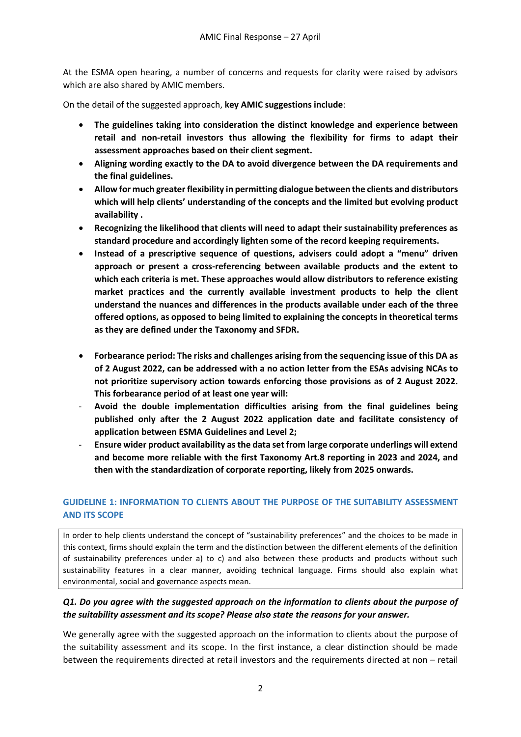At the ESMA open hearing, a number of concerns and requests for clarity were raised by advisors which are also shared by AMIC members.

On the detail of the suggested approach, **key AMIC suggestions include**:

- **The guidelines taking into consideration the distinct knowledge and experience between retail and non-retail investors thus allowing the flexibility for firms to adapt their assessment approaches based on their client segment.**
- **Aligning wording exactly to the DA to avoid divergence between the DA requirements and the final guidelines.**
- **Allow for much greater flexibility in permitting dialogue between the clients and distributors which will help clients' understanding of the concepts and the limited but evolving product availability .**
- **Recognizing the likelihood that clients will need to adapt their sustainability preferences as standard procedure and accordingly lighten some of the record keeping requirements.**
- **Instead of a prescriptive sequence of questions, advisers could adopt a "menu" driven approach or present a cross-referencing between available products and the extent to which each criteria is met. These approaches would allow distributors to reference existing market practices and the currently available investment products to help the client understand the nuances and differences in the products available under each of the three offered options, as opposed to being limited to explaining the concepts in theoretical terms as they are defined under the Taxonomy and SFDR.**
- **Forbearance period: The risks and challenges arising from the sequencing issue of this DA as of 2 August 2022, can be addressed with a no action letter from the ESAs advising NCAs to not prioritize supervisory action towards enforcing those provisions as of 2 August 2022. This forbearance period of at least one year will:**
- **Avoid the double implementation difficulties arising from the final guidelines being published only after the 2 August 2022 application date and facilitate consistency of application between ESMA Guidelines and Level 2;**
- **Ensure wider product availability as the data set from large corporate underlings will extend and become more reliable with the first Taxonomy Art.8 reporting in 2023 and 2024, and then with the standardization of corporate reporting, likely from 2025 onwards.**

## **GUIDELINE 1: INFORMATION TO CLIENTS ABOUT THE PURPOSE OF THE SUITABILITY ASSESSMENT AND ITS SCOPE**

In order to help clients understand the concept of "sustainability preferences" and the choices to be made in this context, firms should explain the term and the distinction between the different elements of the definition of sustainability preferences under a) to c) and also between these products and products without such sustainability features in a clear manner, avoiding technical language. Firms should also explain what environmental, social and governance aspects mean.

## *Q1. Do you agree with the suggested approach on the information to clients about the purpose of the suitability assessment and its scope? Please also state the reasons for your answer.*

We generally agree with the suggested approach on the information to clients about the purpose of the suitability assessment and its scope. In the first instance, a clear distinction should be made between the requirements directed at retail investors and the requirements directed at non – retail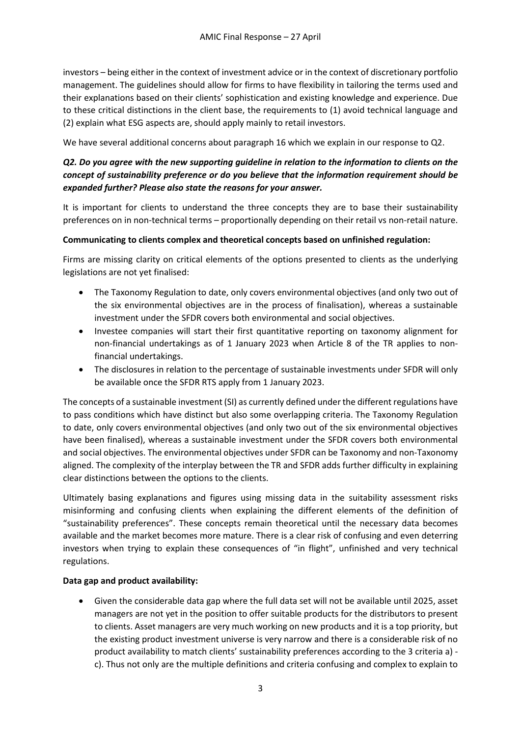investors – being either in the context of investment advice or in the context of discretionary portfolio management. The guidelines should allow for firms to have flexibility in tailoring the terms used and their explanations based on their clients' sophistication and existing knowledge and experience. Due to these critical distinctions in the client base, the requirements to (1) avoid technical language and (2) explain what ESG aspects are, should apply mainly to retail investors.

We have several additional concerns about paragraph 16 which we explain in our response to Q2.

# *Q2. Do you agree with the new supporting guideline in relation to the information to clients on the concept of sustainability preference or do you believe that the information requirement should be expanded further? Please also state the reasons for your answer.*

It is important for clients to understand the three concepts they are to base their sustainability preferences on in non-technical terms – proportionally depending on their retail vs non-retail nature.

## **Communicating to clients complex and theoretical concepts based on unfinished regulation:**

Firms are missing clarity on critical elements of the options presented to clients as the underlying legislations are not yet finalised:

- The Taxonomy Regulation to date, only covers environmental objectives (and only two out of the six environmental objectives are in the process of finalisation), whereas a sustainable investment under the SFDR covers both environmental and social objectives.
- Investee companies will start their first quantitative reporting on taxonomy alignment for non-financial undertakings as of 1 January 2023 when Article 8 of the TR applies to nonfinancial undertakings.
- The disclosures in relation to the percentage of sustainable investments under SFDR will only be available once the SFDR RTS apply from 1 January 2023.

The concepts of a sustainable investment (SI) as currently defined under the different regulations have to pass conditions which have distinct but also some overlapping criteria. The Taxonomy Regulation to date, only covers environmental objectives (and only two out of the six environmental objectives have been finalised), whereas a sustainable investment under the SFDR covers both environmental and social objectives. The environmental objectives under SFDR can be Taxonomy and non-Taxonomy aligned. The complexity of the interplay between the TR and SFDR adds further difficulty in explaining clear distinctions between the options to the clients.

Ultimately basing explanations and figures using missing data in the suitability assessment risks misinforming and confusing clients when explaining the different elements of the definition of "sustainability preferences". These concepts remain theoretical until the necessary data becomes available and the market becomes more mature. There is a clear risk of confusing and even deterring investors when trying to explain these consequences of "in flight", unfinished and very technical regulations.

### **Data gap and product availability:**

• Given the considerable data gap where the full data set will not be available until 2025, asset managers are not yet in the position to offer suitable products for the distributors to present to clients. Asset managers are very much working on new products and it is a top priority, but the existing product investment universe is very narrow and there is a considerable risk of no product availability to match clients' sustainability preferences according to the 3 criteria a) c). Thus not only are the multiple definitions and criteria confusing and complex to explain to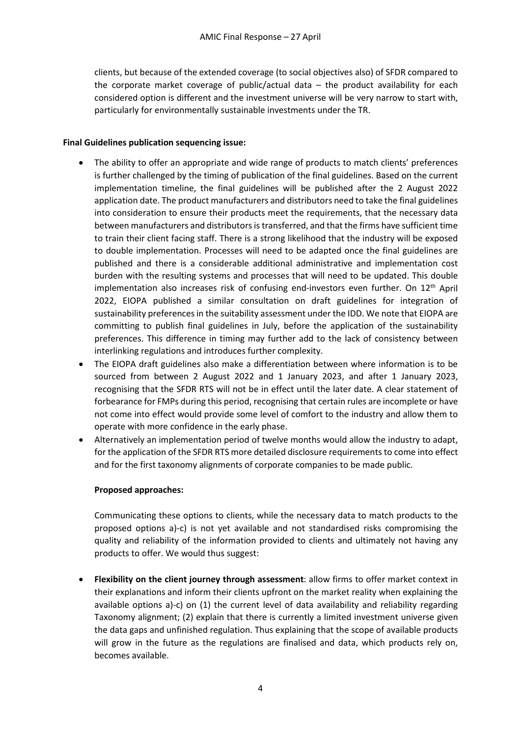clients, but because of the extended coverage (to social objectives also) of SFDR compared to the corporate market coverage of public/actual data – the product availability for each considered option is different and the investment universe will be very narrow to start with, particularly for environmentally sustainable investments under the TR.

#### **Final Guidelines publication sequencing issue:**

- The ability to offer an appropriate and wide range of products to match clients' preferences is further challenged by the timing of publication of the final guidelines. Based on the current implementation timeline, the final guidelines will be published after the 2 August 2022 application date. The product manufacturers and distributors need to take the final guidelines into consideration to ensure their products meet the requirements, that the necessary data between manufacturers and distributors is transferred, and that the firms have sufficient time to train their client facing staff. There is a strong likelihood that the industry will be exposed to double implementation. Processes will need to be adapted once the final guidelines are published and there is a considerable additional administrative and implementation cost burden with the resulting systems and processes that will need to be updated. This double implementation also increases risk of confusing end-investors even further. On  $12<sup>th</sup>$  April 2022, EIOPA published a similar consultation on draft guidelines for integration of sustainability preferences in the suitability assessment under the IDD. We note that EIOPA are committing to publish final guidelines in July, before the application of the sustainability preferences. This difference in timing may further add to the lack of consistency between interlinking regulations and introduces further complexity.
- The EIOPA draft guidelines also make a differentiation between where information is to be sourced from between 2 August 2022 and 1 January 2023, and after 1 January 2023, recognising that the SFDR RTS will not be in effect until the later date. A clear statement of forbearance for FMPs during this period, recognising that certain rules are incomplete or have not come into effect would provide some level of comfort to the industry and allow them to operate with more confidence in the early phase.
- Alternatively an implementation period of twelve months would allow the industry to adapt, for the application of the SFDR RTS more detailed disclosure requirements to come into effect and for the first taxonomy alignments of corporate companies to be made public.

### **Proposed approaches:**

Communicating these options to clients, while the necessary data to match products to the proposed options a)-c) is not yet available and not standardised risks compromising the quality and reliability of the information provided to clients and ultimately not having any products to offer. We would thus suggest:

• **Flexibility on the client journey through assessment**: allow firms to offer market context in their explanations and inform their clients upfront on the market reality when explaining the available options a)-c) on (1) the current level of data availability and reliability regarding Taxonomy alignment; (2) explain that there is currently a limited investment universe given the data gaps and unfinished regulation. Thus explaining that the scope of available products will grow in the future as the regulations are finalised and data, which products rely on, becomes available.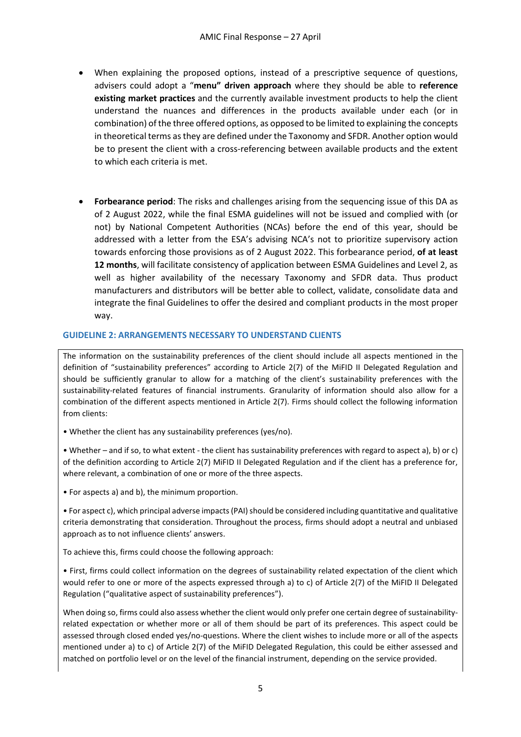- When explaining the proposed options, instead of a prescriptive sequence of questions, advisers could adopt a "**menu" driven approach** where they should be able to **reference existing market practices** and the currently available investment products to help the client understand the nuances and differences in the products available under each (or in combination) of the three offered options, as opposed to be limited to explaining the concepts in theoretical terms as they are defined under the Taxonomy and SFDR. Another option would be to present the client with a cross-referencing between available products and the extent to which each criteria is met.
- **Forbearance period**: The risks and challenges arising from the sequencing issue of this DA as of 2 August 2022, while the final ESMA guidelines will not be issued and complied with (or not) by National Competent Authorities (NCAs) before the end of this year, should be addressed with a letter from the ESA's advising NCA's not to prioritize supervisory action towards enforcing those provisions as of 2 August 2022. This forbearance period, **of at least 12 months**, will facilitate consistency of application between ESMA Guidelines and Level 2, as well as higher availability of the necessary Taxonomy and SFDR data. Thus product manufacturers and distributors will be better able to collect, validate, consolidate data and integrate the final Guidelines to offer the desired and compliant products in the most proper way.

#### **GUIDELINE 2: ARRANGEMENTS NECESSARY TO UNDERSTAND CLIENTS**

The information on the sustainability preferences of the client should include all aspects mentioned in the definition of "sustainability preferences" according to Article 2(7) of the MiFID II Delegated Regulation and should be sufficiently granular to allow for a matching of the client's sustainability preferences with the sustainability-related features of financial instruments. Granularity of information should also allow for a combination of the different aspects mentioned in Article 2(7). Firms should collect the following information from clients:

• Whether the client has any sustainability preferences (yes/no).

• Whether – and if so, to what extent - the client has sustainability preferences with regard to aspect a), b) or c) of the definition according to Article 2(7) MiFID II Delegated Regulation and if the client has a preference for, where relevant, a combination of one or more of the three aspects.

• For aspects a) and b), the minimum proportion.

• For aspect c), which principal adverse impacts (PAI) should be considered including quantitative and qualitative criteria demonstrating that consideration. Throughout the process, firms should adopt a neutral and unbiased approach as to not influence clients' answers.

To achieve this, firms could choose the following approach:

• First, firms could collect information on the degrees of sustainability related expectation of the client which would refer to one or more of the aspects expressed through a) to c) of Article 2(7) of the MiFID II Delegated Regulation ("qualitative aspect of sustainability preferences").

When doing so, firms could also assess whether the client would only prefer one certain degree of sustainabilityrelated expectation or whether more or all of them should be part of its preferences. This aspect could be assessed through closed ended yes/no-questions. Where the client wishes to include more or all of the aspects mentioned under a) to c) of Article 2(7) of the MiFID Delegated Regulation, this could be either assessed and matched on portfolio level or on the level of the financial instrument, depending on the service provided.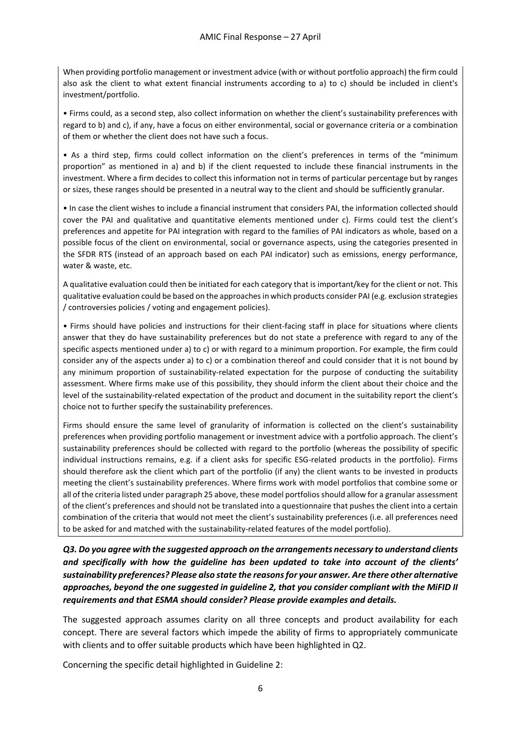When providing portfolio management or investment advice (with or without portfolio approach) the firm could also ask the client to what extent financial instruments according to a) to c) should be included in client's investment/portfolio.

• Firms could, as a second step, also collect information on whether the client's sustainability preferences with regard to b) and c), if any, have a focus on either environmental, social or governance criteria or a combination of them or whether the client does not have such a focus.

• As a third step, firms could collect information on the client's preferences in terms of the "minimum proportion" as mentioned in a) and b) if the client requested to include these financial instruments in the investment. Where a firm decides to collect this information not in terms of particular percentage but by ranges or sizes, these ranges should be presented in a neutral way to the client and should be sufficiently granular.

• In case the client wishes to include a financial instrument that considers PAI, the information collected should cover the PAI and qualitative and quantitative elements mentioned under c). Firms could test the client's preferences and appetite for PAI integration with regard to the families of PAI indicators as whole, based on a possible focus of the client on environmental, social or governance aspects, using the categories presented in the SFDR RTS (instead of an approach based on each PAI indicator) such as emissions, energy performance, water & waste, etc.

A qualitative evaluation could then be initiated for each category that is important/key for the client or not. This qualitative evaluation could be based on the approaches in which products consider PAI (e.g. exclusion strategies / controversies policies / voting and engagement policies).

• Firms should have policies and instructions for their client-facing staff in place for situations where clients answer that they do have sustainability preferences but do not state a preference with regard to any of the specific aspects mentioned under a) to c) or with regard to a minimum proportion. For example, the firm could consider any of the aspects under a) to c) or a combination thereof and could consider that it is not bound by any minimum proportion of sustainability-related expectation for the purpose of conducting the suitability assessment. Where firms make use of this possibility, they should inform the client about their choice and the level of the sustainability-related expectation of the product and document in the suitability report the client's choice not to further specify the sustainability preferences.

Firms should ensure the same level of granularity of information is collected on the client's sustainability preferences when providing portfolio management or investment advice with a portfolio approach. The client's sustainability preferences should be collected with regard to the portfolio (whereas the possibility of specific individual instructions remains, e.g. if a client asks for specific ESG-related products in the portfolio). Firms should therefore ask the client which part of the portfolio (if any) the client wants to be invested in products meeting the client's sustainability preferences. Where firms work with model portfolios that combine some or all of the criteria listed under paragraph 25 above, these model portfolios should allow for a granular assessment of the client's preferences and should not be translated into a questionnaire that pushes the client into a certain combination of the criteria that would not meet the client's sustainability preferences (i.e. all preferences need to be asked for and matched with the sustainability-related features of the model portfolio).

*Q3. Do you agree with the suggested approach on the arrangements necessary to understand clients and specifically with how the guideline has been updated to take into account of the clients' sustainability preferences? Please also state the reasons for your answer. Are there other alternative approaches, beyond the one suggested in guideline 2, that you consider compliant with the MiFID II requirements and that ESMA should consider? Please provide examples and details.* 

The suggested approach assumes clarity on all three concepts and product availability for each concept. There are several factors which impede the ability of firms to appropriately communicate with clients and to offer suitable products which have been highlighted in Q2.

Concerning the specific detail highlighted in Guideline 2: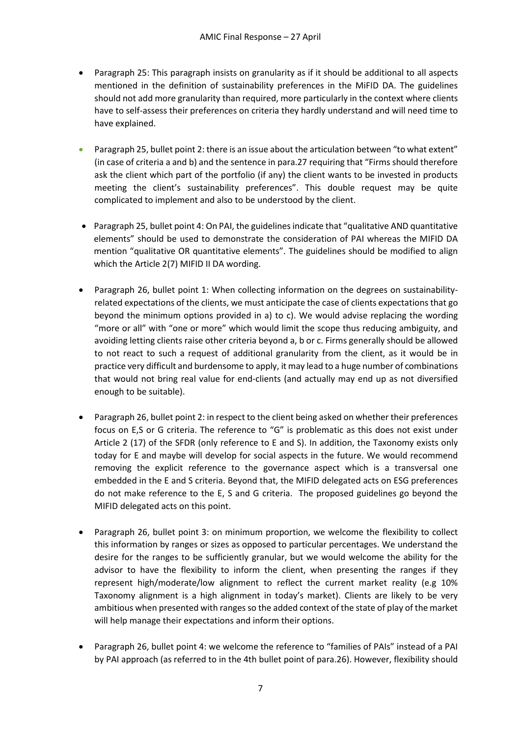- Paragraph 25: This paragraph insists on granularity as if it should be additional to all aspects mentioned in the definition of sustainability preferences in the MiFID DA. The guidelines should not add more granularity than required, more particularly in the context where clients have to self-assess their preferences on criteria they hardly understand and will need time to have explained.
- Paragraph 25, bullet point 2: there is an issue about the articulation between "to what extent" (in case of criteria a and b) and the sentence in para.27 requiring that "Firms should therefore ask the client which part of the portfolio (if any) the client wants to be invested in products meeting the client's sustainability preferences". This double request may be quite complicated to implement and also to be understood by the client.
- Paragraph 25, bullet point 4: On PAI, the guidelines indicate that "qualitative AND quantitative elements" should be used to demonstrate the consideration of PAI whereas the MIFID DA mention "qualitative OR quantitative elements". The guidelines should be modified to align which the Article 2(7) MIFID II DA wording.
- Paragraph 26, bullet point 1: When collecting information on the degrees on sustainabilityrelated expectations of the clients, we must anticipate the case of clients expectations that go beyond the minimum options provided in a) to c). We would advise replacing the wording "more or all" with "one or more" which would limit the scope thus reducing ambiguity, and avoiding letting clients raise other criteria beyond a, b or c. Firms generally should be allowed to not react to such a request of additional granularity from the client, as it would be in practice very difficult and burdensome to apply, it may lead to a huge number of combinations that would not bring real value for end-clients (and actually may end up as not diversified enough to be suitable).
- Paragraph 26, bullet point 2: in respect to the client being asked on whether their preferences focus on E,S or G criteria. The reference to "G" is problematic as this does not exist under Article 2 (17) of the SFDR (only reference to E and S). In addition, the Taxonomy exists only today for E and maybe will develop for social aspects in the future. We would recommend removing the explicit reference to the governance aspect which is a transversal one embedded in the E and S criteria. Beyond that, the MIFID delegated acts on ESG preferences do not make reference to the E, S and G criteria. The proposed guidelines go beyond the MIFID delegated acts on this point.
- Paragraph 26, bullet point 3: on minimum proportion, we welcome the flexibility to collect this information by ranges or sizes as opposed to particular percentages. We understand the desire for the ranges to be sufficiently granular, but we would welcome the ability for the advisor to have the flexibility to inform the client, when presenting the ranges if they represent high/moderate/low alignment to reflect the current market reality (e.g 10% Taxonomy alignment is a high alignment in today's market). Clients are likely to be very ambitious when presented with ranges so the added context of the state of play of the market will help manage their expectations and inform their options.
- Paragraph 26, bullet point 4: we welcome the reference to "families of PAIs" instead of a PAI by PAI approach (as referred to in the 4th bullet point of para.26). However, flexibility should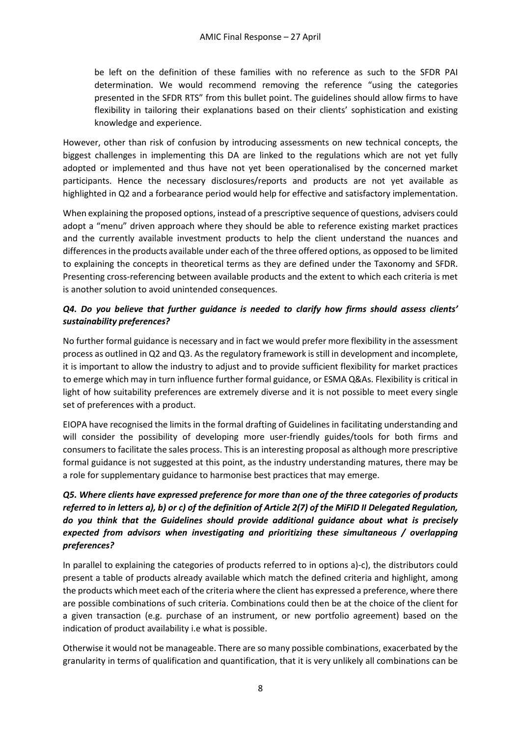be left on the definition of these families with no reference as such to the SFDR PAI determination. We would recommend removing the reference "using the categories presented in the SFDR RTS" from this bullet point. The guidelines should allow firms to have flexibility in tailoring their explanations based on their clients' sophistication and existing knowledge and experience.

However, other than risk of confusion by introducing assessments on new technical concepts, the biggest challenges in implementing this DA are linked to the regulations which are not yet fully adopted or implemented and thus have not yet been operationalised by the concerned market participants. Hence the necessary disclosures/reports and products are not yet available as highlighted in Q2 and a forbearance period would help for effective and satisfactory implementation.

When explaining the proposed options, instead of a prescriptive sequence of questions, advisers could adopt a "menu" driven approach where they should be able to reference existing market practices and the currently available investment products to help the client understand the nuances and differences in the products available under each of the three offered options, as opposed to be limited to explaining the concepts in theoretical terms as they are defined under the Taxonomy and SFDR. Presenting cross-referencing between available products and the extent to which each criteria is met is another solution to avoid unintended consequences.

# *Q4. Do you believe that further guidance is needed to clarify how firms should assess clients' sustainability preferences?*

No further formal guidance is necessary and in fact we would prefer more flexibility in the assessment process as outlined in Q2 and Q3. As the regulatory framework is still in development and incomplete, it is important to allow the industry to adjust and to provide sufficient flexibility for market practices to emerge which may in turn influence further formal guidance, or ESMA Q&As. Flexibility is critical in light of how suitability preferences are extremely diverse and it is not possible to meet every single set of preferences with a product.

EIOPA have recognised the limits in the formal drafting of Guidelines in facilitating understanding and will consider the possibility of developing more user-friendly guides/tools for both firms and consumers to facilitate the sales process. This is an interesting proposal as although more prescriptive formal guidance is not suggested at this point, as the industry understanding matures, there may be a role for supplementary guidance to harmonise best practices that may emerge.

# *Q5. Where clients have expressed preference for more than one of the three categories of products referred to in letters a), b) or c) of the definition of Article 2(7) of the MiFID II Delegated Regulation, do you think that the Guidelines should provide additional guidance about what is precisely expected from advisors when investigating and prioritizing these simultaneous / overlapping preferences?*

In parallel to explaining the categories of products referred to in options a)-c), the distributors could present a table of products already available which match the defined criteria and highlight, among the products which meet each of the criteria where the client has expressed a preference, where there are possible combinations of such criteria. Combinations could then be at the choice of the client for a given transaction (e.g. purchase of an instrument, or new portfolio agreement) based on the indication of product availability i.e what is possible.

Otherwise it would not be manageable. There are so many possible combinations, exacerbated by the granularity in terms of qualification and quantification, that it is very unlikely all combinations can be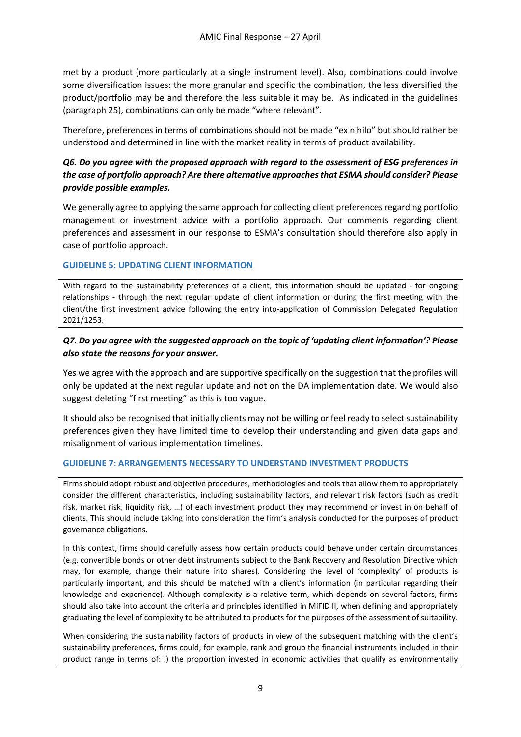met by a product (more particularly at a single instrument level). Also, combinations could involve some diversification issues: the more granular and specific the combination, the less diversified the product/portfolio may be and therefore the less suitable it may be. As indicated in the guidelines (paragraph 25), combinations can only be made "where relevant".

Therefore, preferences in terms of combinations should not be made "ex nihilo" but should rather be understood and determined in line with the market reality in terms of product availability.

## *Q6. Do you agree with the proposed approach with regard to the assessment of ESG preferences in the case of portfolio approach? Are there alternative approaches that ESMA should consider? Please provide possible examples.*

We generally agree to applying the same approach for collecting client preferences regarding portfolio management or investment advice with a portfolio approach. Our comments regarding client preferences and assessment in our response to ESMA's consultation should therefore also apply in case of portfolio approach.

#### **GUIDELINE 5: UPDATING CLIENT INFORMATION**

With regard to the sustainability preferences of a client, this information should be updated - for ongoing relationships - through the next regular update of client information or during the first meeting with the client/the first investment advice following the entry into-application of Commission Delegated Regulation 2021/1253.

### *Q7. Do you agree with the suggested approach on the topic of 'updating client information'? Please also state the reasons for your answer.*

Yes we agree with the approach and are supportive specifically on the suggestion that the profiles will only be updated at the next regular update and not on the DA implementation date. We would also suggest deleting "first meeting" as this is too vague.

It should also be recognised that initially clients may not be willing or feel ready to select sustainability preferences given they have limited time to develop their understanding and given data gaps and misalignment of various implementation timelines.

### **GUIDELINE 7: ARRANGEMENTS NECESSARY TO UNDERSTAND INVESTMENT PRODUCTS**

Firms should adopt robust and objective procedures, methodologies and tools that allow them to appropriately consider the different characteristics, including sustainability factors, and relevant risk factors (such as credit risk, market risk, liquidity risk, …) of each investment product they may recommend or invest in on behalf of clients. This should include taking into consideration the firm's analysis conducted for the purposes of product governance obligations.

In this context, firms should carefully assess how certain products could behave under certain circumstances (e.g. convertible bonds or other debt instruments subject to the Bank Recovery and Resolution Directive which may, for example, change their nature into shares). Considering the level of 'complexity' of products is particularly important, and this should be matched with a client's information (in particular regarding their knowledge and experience). Although complexity is a relative term, which depends on several factors, firms should also take into account the criteria and principles identified in MiFID II, when defining and appropriately graduating the level of complexity to be attributed to products for the purposes of the assessment of suitability.

When considering the sustainability factors of products in view of the subsequent matching with the client's sustainability preferences, firms could, for example, rank and group the financial instruments included in their product range in terms of: i) the proportion invested in economic activities that qualify as environmentally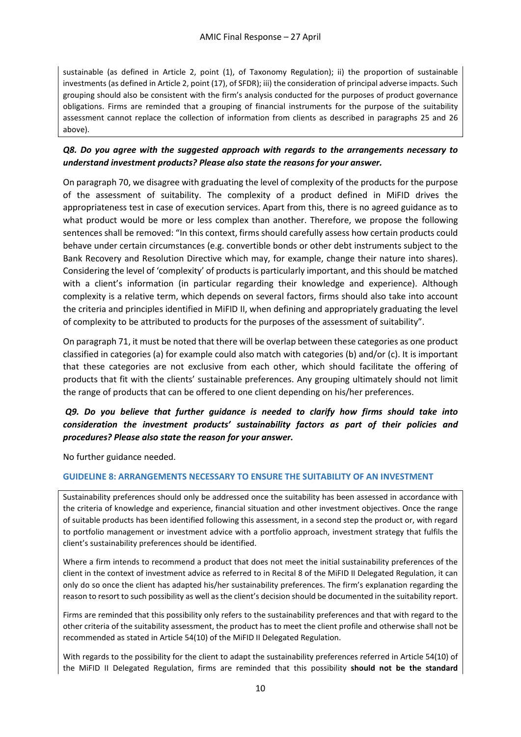sustainable (as defined in Article 2, point (1), of Taxonomy Regulation); ii) the proportion of sustainable investments (as defined in Article 2, point (17), of SFDR); iii) the consideration of principal adverse impacts. Such grouping should also be consistent with the firm's analysis conducted for the purposes of product governance obligations. Firms are reminded that a grouping of financial instruments for the purpose of the suitability assessment cannot replace the collection of information from clients as described in paragraphs 25 and 26 above).

## *Q8. Do you agree with the suggested approach with regards to the arrangements necessary to understand investment products? Please also state the reasons for your answer.*

On paragraph 70, we disagree with graduating the level of complexity of the products for the purpose of the assessment of suitability. The complexity of a product defined in MiFID drives the appropriateness test in case of execution services. Apart from this, there is no agreed guidance as to what product would be more or less complex than another. Therefore, we propose the following sentences shall be removed: "In this context, firms should carefully assess how certain products could behave under certain circumstances (e.g. convertible bonds or other debt instruments subject to the Bank Recovery and Resolution Directive which may, for example, change their nature into shares). Considering the level of 'complexity' of products is particularly important, and this should be matched with a client's information (in particular regarding their knowledge and experience). Although complexity is a relative term, which depends on several factors, firms should also take into account the criteria and principles identified in MiFID II, when defining and appropriately graduating the level of complexity to be attributed to products for the purposes of the assessment of suitability".

On paragraph 71, it must be noted that there will be overlap between these categories as one product classified in categories (a) for example could also match with categories (b) and/or (c). It is important that these categories are not exclusive from each other, which should facilitate the offering of products that fit with the clients' sustainable preferences. Any grouping ultimately should not limit the range of products that can be offered to one client depending on his/her preferences.

## *Q9. Do you believe that further guidance is needed to clarify how firms should take into consideration the investment products' sustainability factors as part of their policies and procedures? Please also state the reason for your answer.*

No further guidance needed.

### **GUIDELINE 8: ARRANGEMENTS NECESSARY TO ENSURE THE SUITABILITY OF AN INVESTMENT**

Sustainability preferences should only be addressed once the suitability has been assessed in accordance with the criteria of knowledge and experience, financial situation and other investment objectives. Once the range of suitable products has been identified following this assessment, in a second step the product or, with regard to portfolio management or investment advice with a portfolio approach, investment strategy that fulfils the client's sustainability preferences should be identified.

Where a firm intends to recommend a product that does not meet the initial sustainability preferences of the client in the context of investment advice as referred to in Recital 8 of the MiFID II Delegated Regulation, it can only do so once the client has adapted his/her sustainability preferences. The firm's explanation regarding the reason to resort to such possibility as well as the client's decision should be documented in the suitability report.

Firms are reminded that this possibility only refers to the sustainability preferences and that with regard to the other criteria of the suitability assessment, the product has to meet the client profile and otherwise shall not be recommended as stated in Article 54(10) of the MiFID II Delegated Regulation.

With regards to the possibility for the client to adapt the sustainability preferences referred in Article 54(10) of the MiFID II Delegated Regulation, firms are reminded that this possibility **should not be the standard**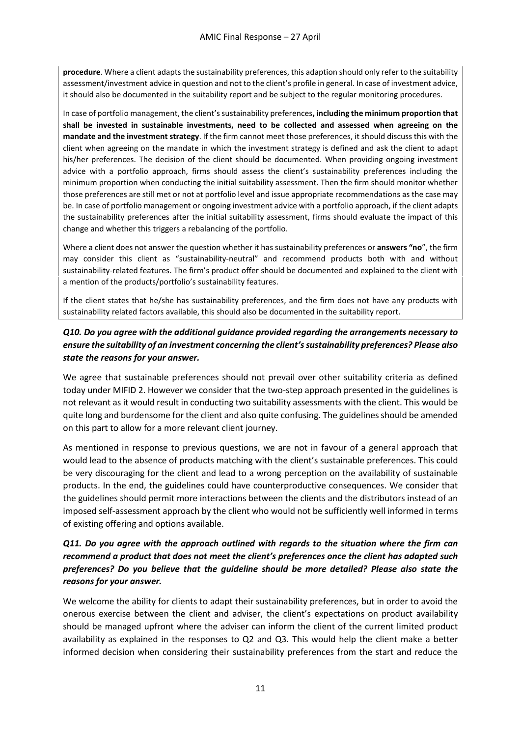**procedure**. Where a client adapts the sustainability preferences, this adaption should only refer to the suitability assessment/investment advice in question and not to the client's profile in general. In case of investment advice, it should also be documented in the suitability report and be subject to the regular monitoring procedures.

In case of portfolio management, the client's sustainability preferences**, including the minimum proportion that shall be invested in sustainable investments, need to be collected and assessed when agreeing on the mandate and the investment strategy**. If the firm cannot meet those preferences, it should discuss this with the client when agreeing on the mandate in which the investment strategy is defined and ask the client to adapt his/her preferences. The decision of the client should be documented. When providing ongoing investment advice with a portfolio approach, firms should assess the client's sustainability preferences including the minimum proportion when conducting the initial suitability assessment. Then the firm should monitor whether those preferences are still met or not at portfolio level and issue appropriate recommendations as the case may be. In case of portfolio management or ongoing investment advice with a portfolio approach, if the client adapts the sustainability preferences after the initial suitability assessment, firms should evaluate the impact of this change and whether this triggers a rebalancing of the portfolio.

Where a client does not answer the question whether it has sustainability preferences or **answers "no**", the firm may consider this client as "sustainability-neutral" and recommend products both with and without sustainability-related features. The firm's product offer should be documented and explained to the client with a mention of the products/portfolio's sustainability features.

If the client states that he/she has sustainability preferences, and the firm does not have any products with sustainability related factors available, this should also be documented in the suitability report.

# *Q10. Do you agree with the additional guidance provided regarding the arrangements necessary to ensure the suitability of an investment concerning the client's sustainability preferences? Please also state the reasons for your answer.*

We agree that sustainable preferences should not prevail over other suitability criteria as defined today under MIFID 2. However we consider that the two-step approach presented in the guidelines is not relevant as it would result in conducting two suitability assessments with the client. This would be quite long and burdensome for the client and also quite confusing. The guidelines should be amended on this part to allow for a more relevant client journey.

As mentioned in response to previous questions, we are not in favour of a general approach that would lead to the absence of products matching with the client's sustainable preferences. This could be very discouraging for the client and lead to a wrong perception on the availability of sustainable products. In the end, the guidelines could have counterproductive consequences. We consider that the guidelines should permit more interactions between the clients and the distributors instead of an imposed self-assessment approach by the client who would not be sufficiently well informed in terms of existing offering and options available.

# *Q11. Do you agree with the approach outlined with regards to the situation where the firm can recommend a product that does not meet the client's preferences once the client has adapted such preferences? Do you believe that the guideline should be more detailed? Please also state the reasons for your answer.*

We welcome the ability for clients to adapt their sustainability preferences, but in order to avoid the onerous exercise between the client and adviser, the client's expectations on product availability should be managed upfront where the adviser can inform the client of the current limited product availability as explained in the responses to Q2 and Q3. This would help the client make a better informed decision when considering their sustainability preferences from the start and reduce the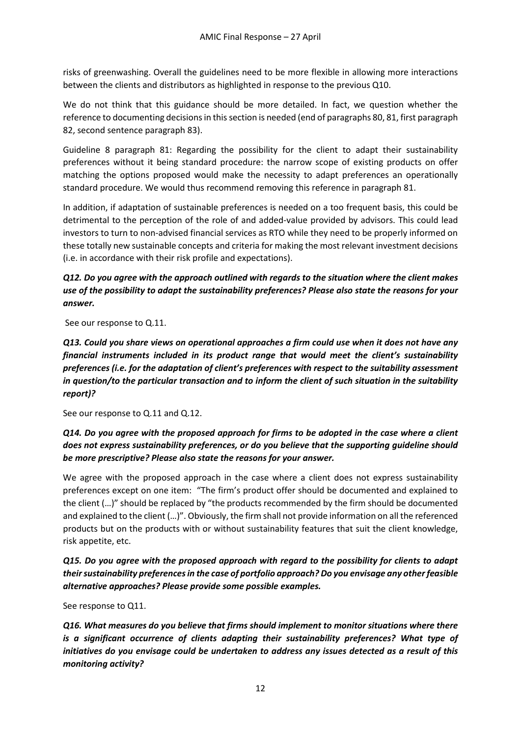risks of greenwashing. Overall the guidelines need to be more flexible in allowing more interactions between the clients and distributors as highlighted in response to the previous Q10.

We do not think that this guidance should be more detailed. In fact, we question whether the reference to documenting decisions in this section is needed (end of paragraphs 80, 81, first paragraph 82, second sentence paragraph 83).

Guideline 8 paragraph 81: Regarding the possibility for the client to adapt their sustainability preferences without it being standard procedure: the narrow scope of existing products on offer matching the options proposed would make the necessity to adapt preferences an operationally standard procedure. We would thus recommend removing this reference in paragraph 81.

In addition, if adaptation of sustainable preferences is needed on a too frequent basis, this could be detrimental to the perception of the role of and added-value provided by advisors. This could lead investors to turn to non-advised financial services as RTO while they need to be properly informed on these totally new sustainable concepts and criteria for making the most relevant investment decisions (i.e. in accordance with their risk profile and expectations).

# *Q12. Do you agree with the approach outlined with regards to the situation where the client makes use of the possibility to adapt the sustainability preferences? Please also state the reasons for your answer.*

See our response to Q.11.

# *Q13. Could you share views on operational approaches a firm could use when it does not have any financial instruments included in its product range that would meet the client's sustainability preferences (i.e. for the adaptation of client's preferences with respect to the suitability assessment in question/to the particular transaction and to inform the client of such situation in the suitability report)?*

See our response to Q.11 and Q.12.

# *Q14. Do you agree with the proposed approach for firms to be adopted in the case where a client does not express sustainability preferences, or do you believe that the supporting guideline should be more prescriptive? Please also state the reasons for your answer.*

We agree with the proposed approach in the case where a client does not express sustainability preferences except on one item: "The firm's product offer should be documented and explained to the client (…)" should be replaced by "the products recommended by the firm should be documented and explained to the client (…)". Obviously, the firm shall not provide information on all the referenced products but on the products with or without sustainability features that suit the client knowledge, risk appetite, etc.

*Q15. Do you agree with the proposed approach with regard to the possibility for clients to adapt their sustainability preferences in the case of portfolio approach? Do you envisage any other feasible alternative approaches? Please provide some possible examples.* 

See response to Q11.

*Q16. What measures do you believe that firms should implement to monitor situations where there is a significant occurrence of clients adapting their sustainability preferences? What type of initiatives do you envisage could be undertaken to address any issues detected as a result of this monitoring activity?*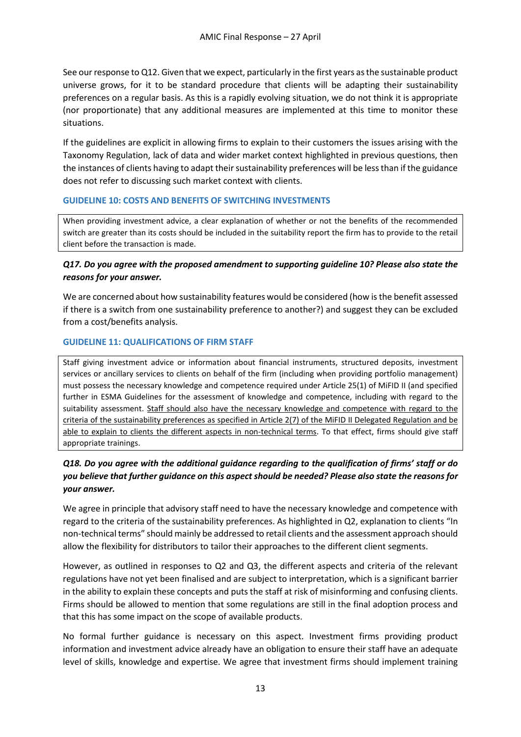See our response to Q12. Given that we expect, particularly in the first years as the sustainable product universe grows, for it to be standard procedure that clients will be adapting their sustainability preferences on a regular basis. As this is a rapidly evolving situation, we do not think it is appropriate (nor proportionate) that any additional measures are implemented at this time to monitor these situations.

If the guidelines are explicit in allowing firms to explain to their customers the issues arising with the Taxonomy Regulation, lack of data and wider market context highlighted in previous questions, then the instances of clients having to adapt their sustainability preferences will be less than if the guidance does not refer to discussing such market context with clients.

#### **GUIDELINE 10: COSTS AND BENEFITS OF SWITCHING INVESTMENTS**

When providing investment advice, a clear explanation of whether or not the benefits of the recommended switch are greater than its costs should be included in the suitability report the firm has to provide to the retail client before the transaction is made.

## *Q17. Do you agree with the proposed amendment to supporting guideline 10? Please also state the reasons for your answer.*

We are concerned about how sustainability features would be considered (how is the benefit assessed if there is a switch from one sustainability preference to another?) and suggest they can be excluded from a cost/benefits analysis.

#### **GUIDELINE 11: QUALIFICATIONS OF FIRM STAFF**

Staff giving investment advice or information about financial instruments, structured deposits, investment services or ancillary services to clients on behalf of the firm (including when providing portfolio management) must possess the necessary knowledge and competence required under Article 25(1) of MiFID II (and specified further in ESMA Guidelines for the assessment of knowledge and competence, including with regard to the suitability assessment. Staff should also have the necessary knowledge and competence with regard to the criteria of the sustainability preferences as specified in Article 2(7) of the MiFID II Delegated Regulation and be able to explain to clients the different aspects in non-technical terms. To that effect, firms should give staff appropriate trainings.

## *Q18. Do you agree with the additional guidance regarding to the qualification of firms' staff or do you believe that further guidance on this aspect should be needed? Please also state the reasons for your answer.*

We agree in principle that advisory staff need to have the necessary knowledge and competence with regard to the criteria of the sustainability preferences. As highlighted in Q2, explanation to clients "In non-technical terms" should mainly be addressed to retail clients and the assessment approach should allow the flexibility for distributors to tailor their approaches to the different client segments.

However, as outlined in responses to Q2 and Q3, the different aspects and criteria of the relevant regulations have not yet been finalised and are subject to interpretation, which is a significant barrier in the ability to explain these concepts and puts the staff at risk of misinforming and confusing clients. Firms should be allowed to mention that some regulations are still in the final adoption process and that this has some impact on the scope of available products.

No formal further guidance is necessary on this aspect. Investment firms providing product information and investment advice already have an obligation to ensure their staff have an adequate level of skills, knowledge and expertise. We agree that investment firms should implement training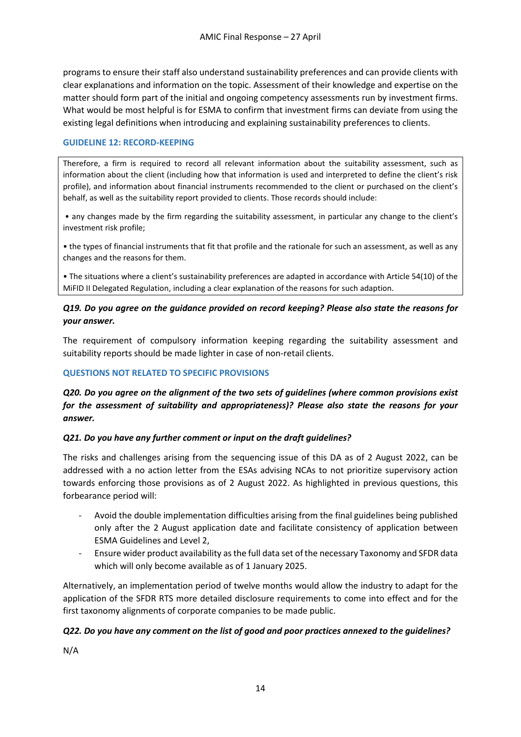programs to ensure their staff also understand sustainability preferences and can provide clients with clear explanations and information on the topic. Assessment of their knowledge and expertise on the matter should form part of the initial and ongoing competency assessments run by investment firms. What would be most helpful is for ESMA to confirm that investment firms can deviate from using the existing legal definitions when introducing and explaining sustainability preferences to clients.

#### **GUIDELINE 12: RECORD-KEEPING**

Therefore, a firm is required to record all relevant information about the suitability assessment, such as information about the client (including how that information is used and interpreted to define the client's risk profile), and information about financial instruments recommended to the client or purchased on the client's behalf, as well as the suitability report provided to clients. Those records should include:

• any changes made by the firm regarding the suitability assessment, in particular any change to the client's investment risk profile;

• the types of financial instruments that fit that profile and the rationale for such an assessment, as well as any changes and the reasons for them.

• The situations where a client's sustainability preferences are adapted in accordance with Article 54(10) of the MiFID II Delegated Regulation, including a clear explanation of the reasons for such adaption.

### *Q19. Do you agree on the guidance provided on record keeping? Please also state the reasons for your answer.*

The requirement of compulsory information keeping regarding the suitability assessment and suitability reports should be made lighter in case of non-retail clients.

#### **QUESTIONS NOT RELATED TO SPECIFIC PROVISIONS**

## *Q20. Do you agree on the alignment of the two sets of guidelines (where common provisions exist for the assessment of suitability and appropriateness)? Please also state the reasons for your answer.*

#### *Q21. Do you have any further comment or input on the draft guidelines?*

The risks and challenges arising from the sequencing issue of this DA as of 2 August 2022, can be addressed with a no action letter from the ESAs advising NCAs to not prioritize supervisory action towards enforcing those provisions as of 2 August 2022. As highlighted in previous questions, this forbearance period will:

- Avoid the double implementation difficulties arising from the final guidelines being published only after the 2 August application date and facilitate consistency of application between ESMA Guidelines and Level 2,
- Ensure wider product availability as the full data set of the necessary Taxonomy and SFDR data which will only become available as of 1 January 2025.

Alternatively, an implementation period of twelve months would allow the industry to adapt for the application of the SFDR RTS more detailed disclosure requirements to come into effect and for the first taxonomy alignments of corporate companies to be made public.

### *Q22. Do you have any comment on the list of good and poor practices annexed to the guidelines?*

N/A